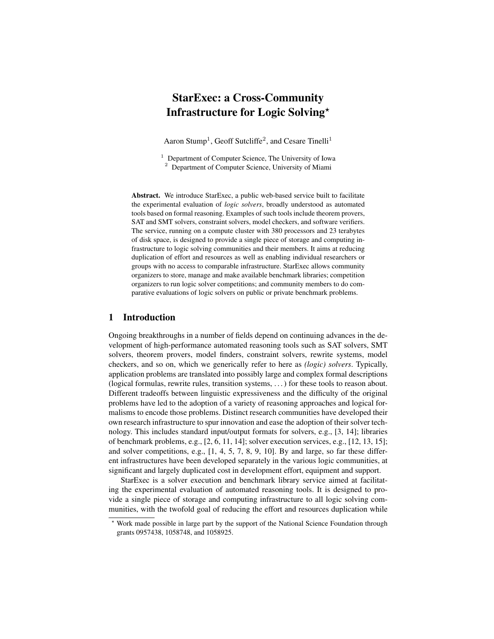# StarExec: a Cross-Community Infrastructure for Logic Solving?

Aaron Stump<sup>1</sup>, Geoff Sutcliffe<sup>2</sup>, and Cesare Tinelli<sup>1</sup>

<sup>1</sup> Department of Computer Science, The University of Iowa  $2$  Department of Computer Science, University of Miami

Abstract. We introduce StarExec, a public web-based service built to facilitate the experimental evaluation of *logic solvers*, broadly understood as automated tools based on formal reasoning. Examples of such tools include theorem provers, SAT and SMT solvers, constraint solvers, model checkers, and software verifiers. The service, running on a compute cluster with 380 processors and 23 terabytes of disk space, is designed to provide a single piece of storage and computing infrastructure to logic solving communities and their members. It aims at reducing duplication of effort and resources as well as enabling individual researchers or groups with no access to comparable infrastructure. StarExec allows community organizers to store, manage and make available benchmark libraries; competition organizers to run logic solver competitions; and community members to do comparative evaluations of logic solvers on public or private benchmark problems.

### 1 Introduction

Ongoing breakthroughs in a number of fields depend on continuing advances in the development of high-performance automated reasoning tools such as SAT solvers, SMT solvers, theorem provers, model finders, constraint solvers, rewrite systems, model checkers, and so on, which we generically refer to here as *(logic) solvers*. Typically, application problems are translated into possibly large and complex formal descriptions (logical formulas, rewrite rules, transition systems, . . . ) for these tools to reason about. Different tradeoffs between linguistic expressiveness and the difficulty of the original problems have led to the adoption of a variety of reasoning approaches and logical formalisms to encode those problems. Distinct research communities have developed their own research infrastructure to spur innovation and ease the adoption of their solver technology. This includes standard input/output formats for solvers, e.g., [3, 14]; libraries of benchmark problems, e.g., [2, 6, 11, 14]; solver execution services, e.g., [12, 13, 15]; and solver competitions, e.g.,  $[1, 4, 5, 7, 8, 9, 10]$ . By and large, so far these different infrastructures have been developed separately in the various logic communities, at significant and largely duplicated cost in development effort, equipment and support.

StarExec is a solver execution and benchmark library service aimed at facilitating the experimental evaluation of automated reasoning tools. It is designed to provide a single piece of storage and computing infrastructure to all logic solving communities, with the twofold goal of reducing the effort and resources duplication while

<sup>?</sup> Work made possible in large part by the support of the National Science Foundation through grants 0957438, 1058748, and 1058925.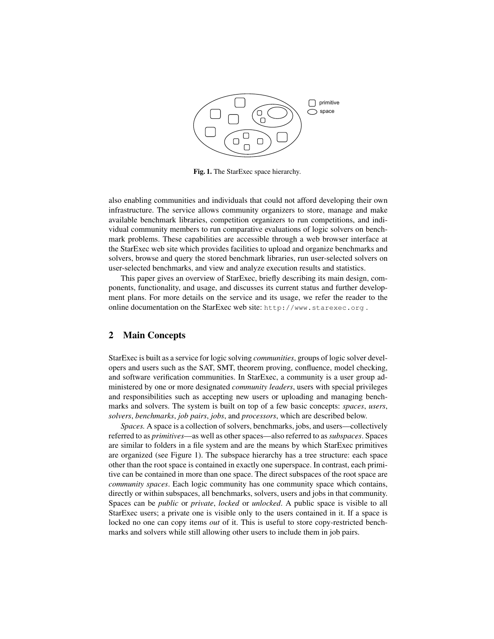

Fig. 1. The StarExec space hierarchy.

also enabling communities and individuals that could not afford developing their own infrastructure. The service allows community organizers to store, manage and make available benchmark libraries, competition organizers to run competitions, and individual community members to run comparative evaluations of logic solvers on benchmark problems. These capabilities are accessible through a web browser interface at the StarExec web site which provides facilities to upload and organize benchmarks and solvers, browse and query the stored benchmark libraries, run user-selected solvers on user-selected benchmarks, and view and analyze execution results and statistics.

This paper gives an overview of StarExec, briefly describing its main design, components, functionality, and usage, and discusses its current status and further development plans. For more details on the service and its usage, we refer the reader to the online documentation on the StarExec web site: http://www.starexec.org .

## 2 Main Concepts

StarExec is built as a service for logic solving *communities*, groups of logic solver developers and users such as the SAT, SMT, theorem proving, confluence, model checking, and software verification communities. In StarExec, a community is a user group administered by one or more designated *community leaders*, users with special privileges and responsibilities such as accepting new users or uploading and managing benchmarks and solvers. The system is built on top of a few basic concepts: *spaces*, *users*, *solvers*, *benchmarks*, *job pairs*, *jobs*, and *processors*, which are described below.

*Spaces.* A space is a collection of solvers, benchmarks, jobs, and users—collectively referred to as *primitives*—as well as other spaces—also referred to as *subspaces*. Spaces are similar to folders in a file system and are the means by which StarExec primitives are organized (see Figure 1). The subspace hierarchy has a tree structure: each space other than the root space is contained in exactly one superspace. In contrast, each primitive can be contained in more than one space. The direct subspaces of the root space are *community spaces*. Each logic community has one community space which contains, directly or within subspaces, all benchmarks, solvers, users and jobs in that community. Spaces can be *public* or *private*, *locked* or *unlocked*. A public space is visible to all StarExec users; a private one is visible only to the users contained in it. If a space is locked no one can copy items *out* of it. This is useful to store copy-restricted benchmarks and solvers while still allowing other users to include them in job pairs.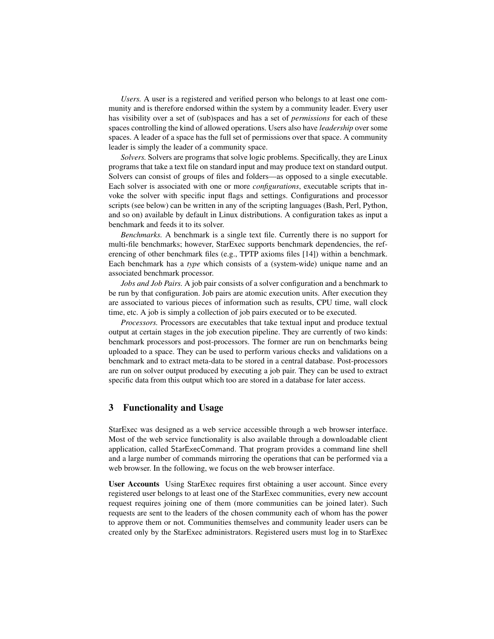*Users.* A user is a registered and verified person who belongs to at least one community and is therefore endorsed within the system by a community leader. Every user has visibility over a set of (sub)spaces and has a set of *permissions* for each of these spaces controlling the kind of allowed operations. Users also have *leadership* over some spaces. A leader of a space has the full set of permissions over that space. A community leader is simply the leader of a community space.

*Solvers.* Solvers are programs that solve logic problems. Specifically, they are Linux programs that take a text file on standard input and may produce text on standard output. Solvers can consist of groups of files and folders—as opposed to a single executable. Each solver is associated with one or more *configurations*, executable scripts that invoke the solver with specific input flags and settings. Configurations and processor scripts (see below) can be written in any of the scripting languages (Bash, Perl, Python, and so on) available by default in Linux distributions. A configuration takes as input a benchmark and feeds it to its solver.

*Benchmarks.* A benchmark is a single text file. Currently there is no support for multi-file benchmarks; however, StarExec supports benchmark dependencies, the referencing of other benchmark files (e.g., TPTP axioms files [14]) within a benchmark. Each benchmark has a *type* which consists of a (system-wide) unique name and an associated benchmark processor.

*Jobs and Job Pairs.* A job pair consists of a solver configuration and a benchmark to be run by that configuration. Job pairs are atomic execution units. After execution they are associated to various pieces of information such as results, CPU time, wall clock time, etc. A job is simply a collection of job pairs executed or to be executed.

*Processors.* Processors are executables that take textual input and produce textual output at certain stages in the job execution pipeline. They are currently of two kinds: benchmark processors and post-processors. The former are run on benchmarks being uploaded to a space. They can be used to perform various checks and validations on a benchmark and to extract meta-data to be stored in a central database. Post-processors are run on solver output produced by executing a job pair. They can be used to extract specific data from this output which too are stored in a database for later access.

### 3 Functionality and Usage

StarExec was designed as a web service accessible through a web browser interface. Most of the web service functionality is also available through a downloadable client application, called StarExecCommand. That program provides a command line shell and a large number of commands mirroring the operations that can be performed via a web browser. In the following, we focus on the web browser interface.

User Accounts Using StarExec requires first obtaining a user account. Since every registered user belongs to at least one of the StarExec communities, every new account request requires joining one of them (more communities can be joined later). Such requests are sent to the leaders of the chosen community each of whom has the power to approve them or not. Communities themselves and community leader users can be created only by the StarExec administrators. Registered users must log in to StarExec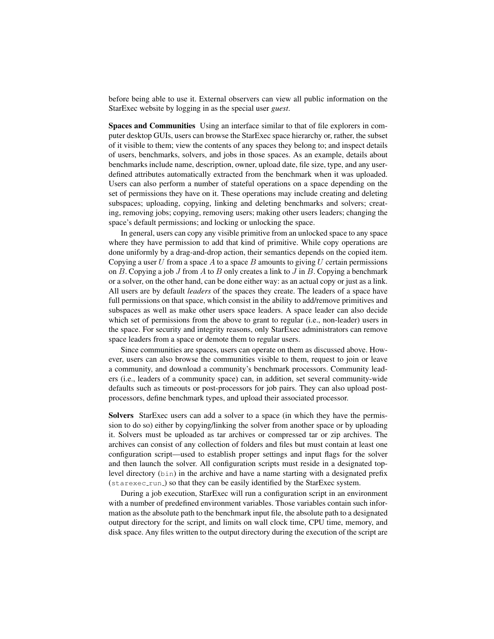before being able to use it. External observers can view all public information on the StarExec website by logging in as the special user *guest*.

Spaces and Communities Using an interface similar to that of file explorers in computer desktop GUIs, users can browse the StarExec space hierarchy or, rather, the subset of it visible to them; view the contents of any spaces they belong to; and inspect details of users, benchmarks, solvers, and jobs in those spaces. As an example, details about benchmarks include name, description, owner, upload date, file size, type, and any userdefined attributes automatically extracted from the benchmark when it was uploaded. Users can also perform a number of stateful operations on a space depending on the set of permissions they have on it. These operations may include creating and deleting subspaces; uploading, copying, linking and deleting benchmarks and solvers; creating, removing jobs; copying, removing users; making other users leaders; changing the space's default permissions; and locking or unlocking the space.

In general, users can copy any visible primitive from an unlocked space to any space where they have permission to add that kind of primitive. While copy operations are done uniformly by a drag-and-drop action, their semantics depends on the copied item. Copying a user U from a space A to a space B amounts to giving  $U$  certain permissions on B. Copying a job J from A to B only creates a link to J in B. Copying a benchmark or a solver, on the other hand, can be done either way: as an actual copy or just as a link. All users are by default *leaders* of the spaces they create. The leaders of a space have full permissions on that space, which consist in the ability to add/remove primitives and subspaces as well as make other users space leaders. A space leader can also decide which set of permissions from the above to grant to regular (i.e., non-leader) users in the space. For security and integrity reasons, only StarExec administrators can remove space leaders from a space or demote them to regular users.

Since communities are spaces, users can operate on them as discussed above. However, users can also browse the communities visible to them, request to join or leave a community, and download a community's benchmark processors. Community leaders (i.e., leaders of a community space) can, in addition, set several community-wide defaults such as timeouts or post-processors for job pairs. They can also upload postprocessors, define benchmark types, and upload their associated processor.

Solvers StarExec users can add a solver to a space (in which they have the permission to do so) either by copying/linking the solver from another space or by uploading it. Solvers must be uploaded as tar archives or compressed tar or zip archives. The archives can consist of any collection of folders and files but must contain at least one configuration script—used to establish proper settings and input flags for the solver and then launch the solver. All configuration scripts must reside in a designated toplevel directory (bin) in the archive and have a name starting with a designated prefix (starexec\_run\_) so that they can be easily identified by the StarExec system.

During a job execution, StarExec will run a configuration script in an environment with a number of predefined environment variables. Those variables contain such information as the absolute path to the benchmark input file, the absolute path to a designated output directory for the script, and limits on wall clock time, CPU time, memory, and disk space. Any files written to the output directory during the execution of the script are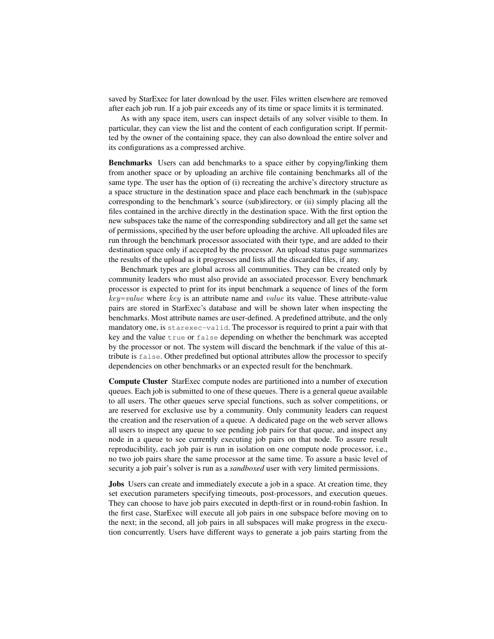saved by StarExec for later download by the user. Files written elsewhere are removed after each job run. If a job pair exceeds any of its time or space limits it is terminated.

As with any space item, users can inspect details of any solver visible to them. In particular, they can view the list and the content of each configuration script. If permitted by the owner of the containing space, they can also download the entire solver and its configurations as a compressed archive.

Benchmarks Users can add benchmarks to a space either by copying/linking them from another space or by uploading an archive file containing benchmarks all of the same type. The user has the option of (i) recreating the archive's directory structure as a space structure in the destination space and place each benchmark in the (sub)space corresponding to the benchmark's source (sub)directory, or (ii) simply placing all the files contained in the archive directly in the destination space. With the first option the new subspaces take the name of the corresponding subdirectory and all get the same set of permissions, specified by the user before uploading the archive. All uploaded files are run through the benchmark processor associated with their type, and are added to their destination space only if accepted by the processor. An upload status page summarizes the results of the upload as it progresses and lists all the discarded files, if any.

Benchmark types are global across all communities. They can be created only by community leaders who must also provide an associated processor. Every benchmark processor is expected to print for its input benchmark a sequence of lines of the form  $key = value$  where  $key$  is an attribute name and *value* its value. These attribute-value pairs are stored in StarExec's database and will be shown later when inspecting the benchmarks. Most attribute names are user-defined. A predefined attribute, and the only mandatory one, is starexec-valid. The processor is required to print a pair with that key and the value true or false depending on whether the benchmark was accepted by the processor or not. The system will discard the benchmark if the value of this attribute is false. Other predefined but optional attributes allow the processor to specify dependencies on other benchmarks or an expected result for the benchmark.

Compute Cluster StarExec compute nodes are partitioned into a number of execution queues. Each job is submitted to one of these queues. There is a general queue available to all users. The other queues serve special functions, such as solver competitions, or are reserved for exclusive use by a community. Only community leaders can request the creation and the reservation of a queue. A dedicated page on the web server allows all users to inspect any queue to see pending job pairs for that queue, and inspect any node in a queue to see currently executing job pairs on that node. To assure result reproducibility, each job pair is run in isolation on one compute node processor, i.e., no two job pairs share the same processor at the same time. To assure a basic level of security a job pair's solver is run as a *sandboxed* user with very limited permissions.

Jobs Users can create and immediately execute a job in a space. At creation time, they set execution parameters specifying timeouts, post-processors, and execution queues. They can choose to have job pairs executed in depth-first or in round-robin fashion. In the first case, StarExec will execute all job pairs in one subspace before moving on to the next; in the second, all job pairs in all subspaces will make progress in the execution concurrently. Users have different ways to generate a job pairs starting from the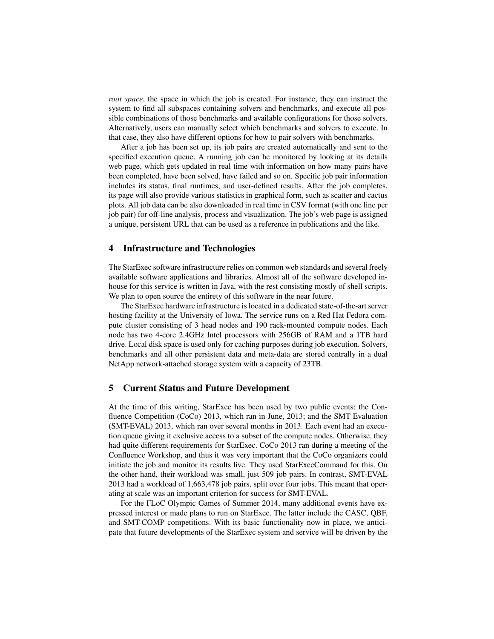*root space*, the space in which the job is created. For instance, they can instruct the system to find all subspaces containing solvers and benchmarks, and execute all possible combinations of those benchmarks and available configurations for those solvers. Alternatively, users can manually select which benchmarks and solvers to execute. In that case, they also have different options for how to pair solvers with benchmarks.

After a job has been set up, its job pairs are created automatically and sent to the specified execution queue. A running job can be monitored by looking at its details web page, which gets updated in real time with information on how many pairs have been completed, have been solved, have failed and so on. Specific job pair information includes its status, final runtimes, and user-defined results. After the job completes, its page will also provide various statistics in graphical form, such as scatter and cactus plots. All job data can be also downloaded in real time in CSV format (with one line per job pair) for off-line analysis, process and visualization. The job's web page is assigned a unique, persistent URL that can be used as a reference in publications and the like.

### 4 Infrastructure and Technologies

The StarExec software infrastructure relies on common web standards and several freely available software applications and libraries. Almost all of the software developed inhouse for this service is written in Java, with the rest consisting mostly of shell scripts. We plan to open source the entirety of this software in the near future.

The StarExec hardware infrastructure is located in a dedicated state-of-the-art server hosting facility at the University of Iowa. The service runs on a Red Hat Fedora compute cluster consisting of 3 head nodes and 190 rack-mounted compute nodes. Each node has two 4-core 2.4GHz Intel processors with 256GB of RAM and a 1TB hard drive. Local disk space is used only for caching purposes during job execution. Solvers, benchmarks and all other persistent data and meta-data are stored centrally in a dual NetApp network-attached storage system with a capacity of 23TB.

### 5 Current Status and Future Development

At the time of this writing, StarExec has been used by two public events: the Confluence Competition (CoCo) 2013, which ran in June, 2013; and the SMT Evaluation (SMT-EVAL) 2013, which ran over several months in 2013. Each event had an execution queue giving it exclusive access to a subset of the compute nodes. Otherwise, they had quite different requirements for StarExec. CoCo 2013 ran during a meeting of the Confluence Workshop, and thus it was very important that the CoCo organizers could initiate the job and monitor its results live. They used StarExecCommand for this. On the other hand, their workload was small, just 509 job pairs. In contrast, SMT-EVAL 2013 had a workload of 1,663,478 job pairs, split over four jobs. This meant that operating at scale was an important criterion for success for SMT-EVAL.

For the FLoC Olympic Games of Summer 2014, many additional events have expressed interest or made plans to run on StarExec. The latter include the CASC, QBF, and SMT-COMP competitions. With its basic functionality now in place, we anticipate that future developments of the StarExec system and service will be driven by the